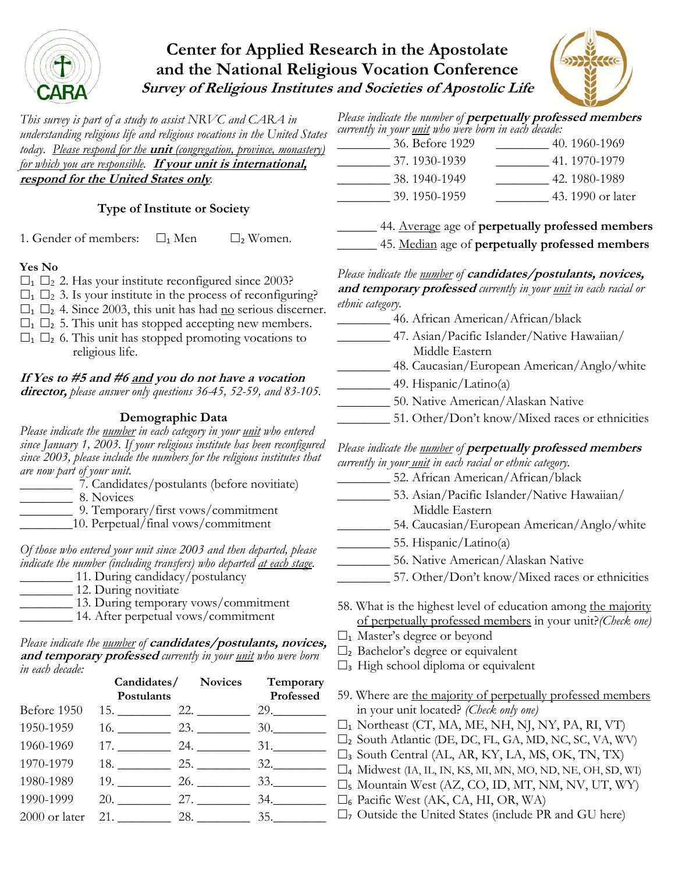

# **Center for Applied Research in the Apostolate and the National Religious Vocation Conference Survey of Religious Institutes and Societies of Apostolic Life**



*This survey is part of a study to assist NRVC and CARA in understanding religious life and religious vocations in the United States today. Please respond for the* **unit** *(congregation, province, monastery) for which you are responsible.* **If your unit is international, respond for the United States only***.*

## **Type of Institute or Society**

1. Gender of members:  $\Box_1$  Men  $\Box_2$  Women.

#### **Yes No**

- $\Box$ <sub>1</sub>  $\Box$ <sub>2</sub> 2. Has your institute reconfigured since 2003?
- $\Box_1$   $\Box_2$  3. Is your institute in the process of reconfiguring?
- $\Box_1$   $\Box_2$  4. Since 2003, this unit has had <u>no</u> serious discerner.
- $\Box_1$   $\Box_2$  5. This unit has stopped accepting new members.
- $\Box$ <sub>1</sub>  $\Box$ <sub>2</sub> 6. This unit has stopped promoting vocations to religious life.

## **If Yes to #5 and #6 and you do not have a vocation**

**director,** *please answer only questions 36-45, 52-59, and 83-105.*

### **Demographic Data**

*Please indicate the number in each category in your unit who entered since January 1, 2003. If your religious institute has been reconfigured since 2003, please include the numbers for the religious institutes that are now part of your unit.* 

\_\_\_\_\_\_\_\_ 7. Candidates/postulants (before novitiate)

\_\_\_\_\_\_\_\_ 8. Novices

- \_\_\_\_\_\_\_\_ 9. Temporary/first vows/commitment
	- \_\_\_\_10. Perpetual/final vows/commitment

*Of those who entered your unit since 2003 and then departed, please indicate the number (including transfers) who departed at each stage.* 

- \_\_\_\_\_\_\_\_ 11. During candidacy/postulancy 12. During novitiate
- \_\_\_\_\_\_\_\_ 13. During temporary vows/commitment
- \_\_\_\_\_\_\_\_ 14. After perpetual vows/commitment

#### *Please indicate the number of* **candidates/postulants, novices, and temporary professed** *currently in your unit who were born in each decade:*

|             | Postulants            | Candidates/ Novices Temporary                                                                                                                                                                                                       | Professed |
|-------------|-----------------------|-------------------------------------------------------------------------------------------------------------------------------------------------------------------------------------------------------------------------------------|-----------|
| Before 1950 |                       | $15.$ 22. 23. 29.                                                                                                                                                                                                                   |           |
| 1950-1959   |                       |                                                                                                                                                                                                                                     | 30.       |
| 1960-1969   |                       | $17. \underline{\hspace{1.5cm}24. \underline{\hspace{1.5cm}}}$                                                                                                                                                                      | 31.       |
| 1970-1979   |                       | 18. 25. 32.                                                                                                                                                                                                                         |           |
| 1980-1989   | 19.                   | <b>26.</b> The contract of the contract of the contract of the contract of the contract of the contract of the contract of the contract of the contract of the contract of the contract of the contract of the contract of the cont | 33.       |
| 1990-1999   |                       | 20. 27.                                                                                                                                                                                                                             | 34.       |
|             | 2000 or later 21. 28. |                                                                                                                                                                                                                                     | 35.       |

*Please indicate the number of* **perpetually professed members** *currently in your unit who were born in each decade:*  $36\overline{\text{Before}}$  1929

| <u>JU. DUIUIU 1747</u> | せい・エノいワーエノワノ      |
|------------------------|-------------------|
| 37.1930-1939           | 41.1970-1979      |
| 38.1940-1949           | 42.1980-1989      |
| 39.1950-1959           | 43. 1990 or later |
|                        |                   |

\_\_\_\_\_\_ 44. Average age of **perpetually professed members** \_\_\_\_\_\_ 45. Median age of **perpetually professed members**

*Please indicate the number of* **candidates/postulants, novices, and temporary professed** *currently in your unit in each racial or ethnic category.*

- \_\_\_\_\_\_\_\_ 46. African American/African/black
	- \_\_\_\_\_\_\_\_ 47. Asian/Pacific Islander/Native Hawaiian/ Middle Eastern
- \_\_\_\_\_\_\_\_ 48. Caucasian/European American/Anglo/white
- \_\_\_\_\_\_\_\_ 49. Hispanic/Latino(a)
- \_\_\_\_\_\_\_\_ 50. Native American/Alaskan Native
- \_\_\_\_\_\_\_\_ 51. Other/Don't know/Mixed races or ethnicities

#### *Please indicate the number of* **perpetually professed members** *currently in your unit in each racial or ethnic category.*

- 52. African American/African/black
- \_\_\_\_\_\_\_\_ 53. Asian/Pacific Islander/Native Hawaiian/ Middle Eastern
- \_\_\_\_\_\_\_\_ 54. Caucasian/European American/Anglo/white
- $\frac{55. \text{Hispanic}}{Latino(a)}$ 
	- \_\_\_\_\_\_\_\_ 56. Native American/Alaskan Native
		- \_\_\_\_\_\_\_\_ 57. Other/Don't know/Mixed races or ethnicities
	- 58. What is the highest level of education among the majority of perpetually professed members in your unit?*(Check one)*
	- $\square$ <sub>1</sub> Master's degree or beyond
	- $\square$ <sub>2</sub> Bachelor's degree or equivalent
	- $\square$ <sub>3</sub> High school diploma or equivalent
	- 59. Where are the majority of perpetually professed members in your unit located? *(Check only one)*
	- $\square_1$  Northeast (CT, MA, ME, NH, NJ, NY, PA, RI, VT)
	- $\square$ <sub>2</sub> South Atlantic (DE, DC, FL, GA, MD, NC, SC, VA, WV)
	- $\square$ <sub>3</sub> South Central (AL, AR, KY, LA, MS, OK, TN, TX)
	- $\square$ 4 Midwest (IA, IL, IN, KS, MI, MN, MO, ND, NE, OH, SD, WI)
	- $\square$ <sub>5</sub> Mountain West (AZ, CO, ID, MT, NM, NV, UT, WY)
	- <sup>6</sup> Pacific West (AK, CA, HI, OR, WA)
	- $\Box$ 7 Outside the United States (include PR and GU here)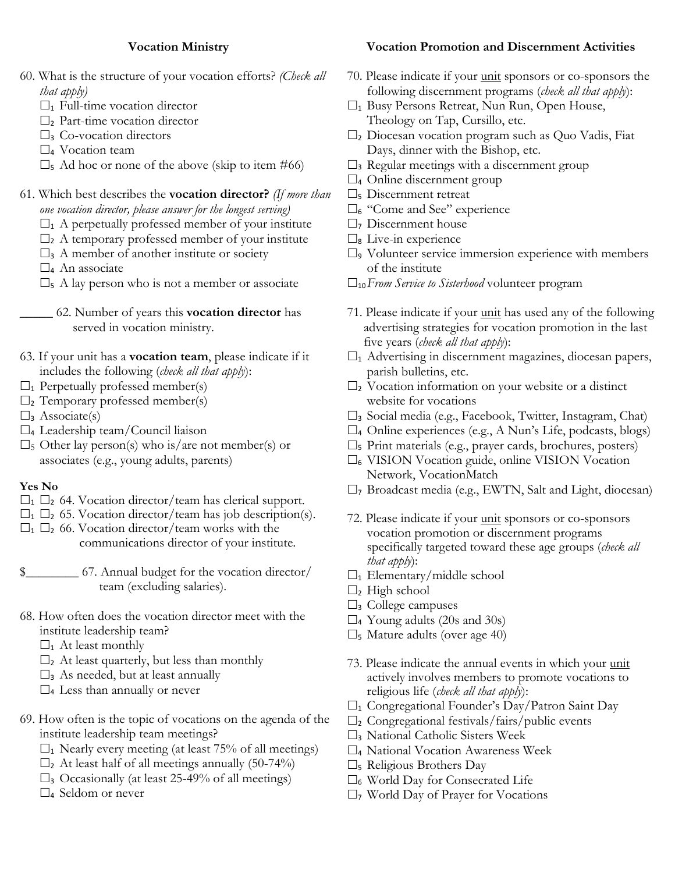### **Vocation Ministry**

- 60. What is the structure of your vocation efforts? *(Check all that apply)* 
	- $\square$ <sub>1</sub> Full-time vocation director
	- $\square$ <sub>2</sub> Part-time vocation director
	- $\square$ 3 Co-vocation directors
	- $\square$ 4 Vocation team
	- $\square$ <sub>5</sub> Ad hoc or none of the above (skip to item #66)
- 61. Which best describes the **vocation director?** *(If more than one vocation director, please answer for the longest serving)*
	- $\Box_1$  A perpetually professed member of your institute
	- $\Box$ <sub>2</sub> A temporary professed member of your institute
	- $\square$ <sub>3</sub> A member of another institute or society
	- $\square$ <sub>4</sub> An associate
	- $\square$ <sub>5</sub> A lay person who is not a member or associate
- \_\_\_\_\_ 62. Number of years this **vocation director** has served in vocation ministry.
- 63. If your unit has a **vocation team**, please indicate if it includes the following (*check all that apply*):
- $\square$ <sub>1</sub> Perpetually professed member(s)
- $\square$ <sub>2</sub> Temporary professed member(s)
- $\square$ <sub>3</sub> Associate(s)
- $\square$ 4 Leadership team/Council liaison
- $\square$ <sub>5</sub> Other lay person(s) who is/are not member(s) or associates (e.g., young adults, parents)

#### **Yes No**

- $\Box_1$   $\Box_2$  64. Vocation director/team has clerical support.
- $\Box_1$   $\Box_2$  65. Vocation director/team has job description(s).
- $\Box_1$   $\Box_2$  66. Vocation director/team works with the communications director of your institute.

\$\_\_\_\_\_\_\_\_ 67. Annual budget for the vocation director/ team (excluding salaries).

- 68. How often does the vocation director meet with the institute leadership team?
	- $\square$ <sub>1</sub> At least monthly
	- $\square$ <sub>2</sub> At least quarterly, but less than monthly
	- $\square$ <sub>3</sub> As needed, but at least annually
	- $\square$ 4 Less than annually or never
- 69. How often is the topic of vocations on the agenda of the institute leadership team meetings?
	- $\square$ <sub>1</sub> Nearly every meeting (at least 75% of all meetings)
	- $\square$ <sub>2</sub> At least half of all meetings annually (50-74%)
	- $\square$ <sub>3</sub> Occasionally (at least 25-49% of all meetings)
	- $\square_4$  Seldom or never

## **Vocation Promotion and Discernment Activities**

- 70. Please indicate if your unit sponsors or co-sponsors the following discernment programs (*check all that apply*):
- $\Box$ <sub>1</sub> Busy Persons Retreat, Nun Run, Open House, Theology on Tap, Cursillo, etc.
- $\square$ <sub>2</sub> Diocesan vocation program such as Quo Vadis, Fiat Days, dinner with the Bishop, etc.
- $\square$ <sub>3</sub> Regular meetings with a discernment group
- $\square$ 4 Online discernment group
- $\square$ <sub>5</sub> Discernment retreat
- $\square_6$  "Come and See" experience
- $\square$ 7 Discernment house
- $\square$ <sub>8</sub> Live-in experience
- $\square$ <sub>9</sub> Volunteer service immersion experience with members of the institute
- 10*From Service to Sisterhood* volunteer program
- 71. Please indicate if your unit has used any of the following advertising strategies for vocation promotion in the last five years (*check all that apply*):
- $\square$ <sub>1</sub> Advertising in discernment magazines, diocesan papers, parish bulletins, etc.
- $\square$ <sub>2</sub> Vocation information on your website or a distinct website for vocations
- $\square$ <sub>3</sub> Social media (e.g., Facebook, Twitter, Instagram, Chat)
- $\square$ 4 Online experiences (e.g., A Nun's Life, podcasts, blogs)
- $\square$ <sub>5</sub> Print materials (e.g., prayer cards, brochures, posters)
- $\square_6$  VISION Vocation guide, online VISION Vocation Network, VocationMatch
- $\square$ 7 Broadcast media (e.g., EWTN, Salt and Light, diocesan)
- 72. Please indicate if your unit sponsors or co-sponsors vocation promotion or discernment programs specifically targeted toward these age groups (*check all that apply*):
- $\square_1$  Elementary/middle school
- $\square$ <sub>2</sub> High school
- $\square$ <sub>3</sub> College campuses
- $\square$ 4 Young adults (20s and 30s)
- $\square$ <sub>5</sub> Mature adults (over age 40)
- 73. Please indicate the annual events in which your unit actively involves members to promote vocations to religious life (*check all that apply*):
- $\Box_1$  Congregational Founder's Day/Patron Saint Day
- $\square$ <sub>2</sub> Congregational festivals/fairs/public events
- $\square$ <sub>3</sub> National Catholic Sisters Week
- $\square$ 4 National Vocation Awareness Week
- $\square$ <sub>5</sub> Religious Brothers Day
- $\square$ <sub>6</sub> World Day for Consecrated Life
- $\Box$ 7 World Day of Prayer for Vocations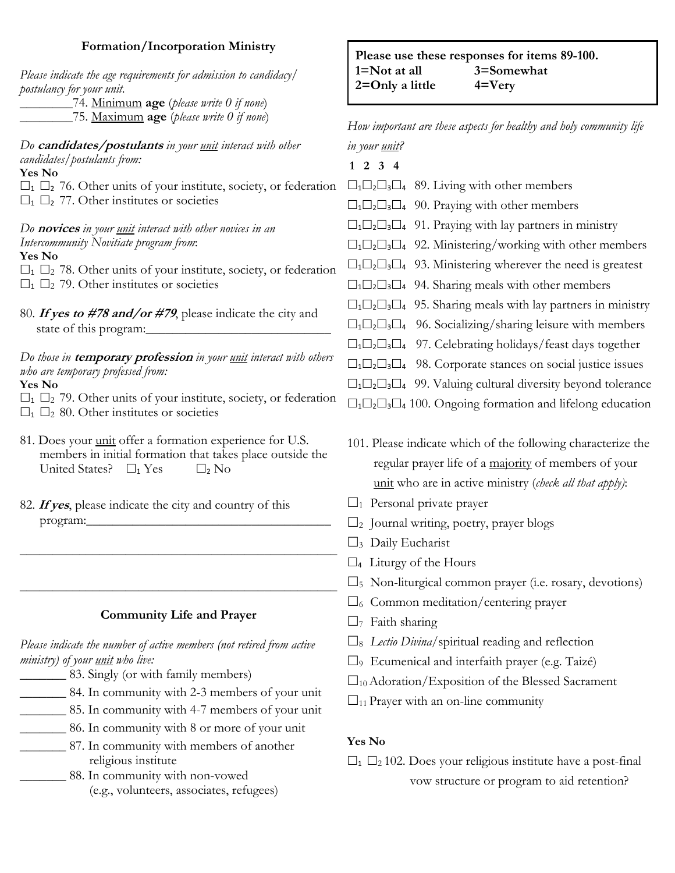## **Formation/Incorporation Ministry**

| Formation/Incorporation Ministry<br>Please indicate the age requirements for admission to candidacy/<br>postulancy for your unit.<br>74. Minimum age (please write 0 if none)                                                                                                                                                                                                                                                                                                                                                                                                                                                                                                                                                                                                                                                                                                                                                         | Please use these responses for items 89-100.<br>1=Not at all<br>3=Somewhat<br>$2 =$ Only a little<br>$4 = V$ ery                                                                                                                                                                                                                                                                                                                                                                                                                                                                                                                                                                                                                                                                                                                                                                                                                                                                  |  |
|---------------------------------------------------------------------------------------------------------------------------------------------------------------------------------------------------------------------------------------------------------------------------------------------------------------------------------------------------------------------------------------------------------------------------------------------------------------------------------------------------------------------------------------------------------------------------------------------------------------------------------------------------------------------------------------------------------------------------------------------------------------------------------------------------------------------------------------------------------------------------------------------------------------------------------------|-----------------------------------------------------------------------------------------------------------------------------------------------------------------------------------------------------------------------------------------------------------------------------------------------------------------------------------------------------------------------------------------------------------------------------------------------------------------------------------------------------------------------------------------------------------------------------------------------------------------------------------------------------------------------------------------------------------------------------------------------------------------------------------------------------------------------------------------------------------------------------------------------------------------------------------------------------------------------------------|--|
| 75. Maximum age (please write 0 if none)                                                                                                                                                                                                                                                                                                                                                                                                                                                                                                                                                                                                                                                                                                                                                                                                                                                                                              | How important are these aspects for healthy and holy community life                                                                                                                                                                                                                                                                                                                                                                                                                                                                                                                                                                                                                                                                                                                                                                                                                                                                                                               |  |
| Do candidates/postulants in your <u>unit</u> interact with other<br>candidates/postulants from:<br>Yes No<br>$\square$ <sub>1</sub> $\square$ <sub>2</sub> 76. Other units of your institute, society, or federation<br>$\square_1 \square_2$ 77. Other institutes or societies<br>Do <b>novices</b> in your <u>unit</u> interact with other novices in an<br>Intercommunity Novitiate program from:<br>Yes No<br>$\square_1 \square_2$ 78. Other units of your institute, society, or federation<br>$\square_1 \square_2$ 79. Other institutes or societies<br>80. If yes to #78 and/or #79, please indicate the city and<br>state of this program:<br>Do those in <b>temporary profession</b> in your <i>unit</i> interact with others<br>who are temporary professed from:<br>Yes No<br>$\square_1 \square_2$ 79. Other units of your institute, society, or federation<br>$\square_1 \square_2$ 80. Other institutes or societies | in your unit?<br>$1\ 2\ 3\ 4$<br>$\square_1 \square_2 \square_3 \square_4$ 89. Living with other members<br>$\Box_1 \Box_2 \Box_3 \Box_4$ 90. Praying with other members<br>$\Box_1 \Box_2 \Box_3 \Box_4$ 91. Praying with lay partners in ministry<br>$\Box_1 \Box_2 \Box_3 \Box_4$ 92. Ministering/working with other members<br>$\Box_1 \Box_2 \Box_3 \Box_4$ 93. Ministering wherever the need is greatest<br>$\Box_1 \Box_2 \Box_3 \Box_4$ 94. Sharing meals with other members<br>$\Box_1 \Box_2 \Box_3 \Box_4$ 95. Sharing meals with lay partners in ministry<br>$\Box_1 \Box_2 \Box_3 \Box_4$ 96. Socializing/sharing leisure with members<br>$\Box_1 \Box_2 \Box_3 \Box_4$ 97. Celebrating holidays/feast days together<br>$\Box_1 \Box_2 \Box_3 \Box_4$ 98. Corporate stances on social justice issues<br>$\Box_1 \Box_2 \Box_3 \Box_4$ 99. Valuing cultural diversity beyond tolerance<br>$\Box_1 \Box_2 \Box_3 \Box_4$ 100. Ongoing formation and lifelong education |  |
| 81. Does your unit offer a formation experience for U.S.<br>members in initial formation that takes place outside the<br>United States? $\Box_1$ Yes<br>$\square_2$ No                                                                                                                                                                                                                                                                                                                                                                                                                                                                                                                                                                                                                                                                                                                                                                | 101. Please indicate which of the following characterize the<br>regular prayer life of a majority of members of your<br>unit who are in active ministry (check all that apply):                                                                                                                                                                                                                                                                                                                                                                                                                                                                                                                                                                                                                                                                                                                                                                                                   |  |
| 82. If yes, please indicate the city and country of this<br>program:                                                                                                                                                                                                                                                                                                                                                                                                                                                                                                                                                                                                                                                                                                                                                                                                                                                                  | $\square$ <sub>1</sub> Personal private prayer<br>$\square$ <sub>2</sub> Journal writing, poetry, prayer blogs<br>$\square_3$ Daily Eucharist<br>$\square$ <sub>4</sub> Liturgy of the Hours                                                                                                                                                                                                                                                                                                                                                                                                                                                                                                                                                                                                                                                                                                                                                                                      |  |
|                                                                                                                                                                                                                                                                                                                                                                                                                                                                                                                                                                                                                                                                                                                                                                                                                                                                                                                                       | Non-liturgical common prayer (i.e. rosary, devotions)<br>$\Box$ <sub>5</sub>                                                                                                                                                                                                                                                                                                                                                                                                                                                                                                                                                                                                                                                                                                                                                                                                                                                                                                      |  |
| <b>Community Life and Prayer</b>                                                                                                                                                                                                                                                                                                                                                                                                                                                                                                                                                                                                                                                                                                                                                                                                                                                                                                      | Common meditation/centering prayer<br>$\Box_6$<br>Faith sharing<br>$\Box$ 7                                                                                                                                                                                                                                                                                                                                                                                                                                                                                                                                                                                                                                                                                                                                                                                                                                                                                                       |  |
| Please indicate the number of active members (not retired from active<br>ministry) of your <u>unit</u> who live:<br>83. Singly (or with family members)<br>84. In community with 2-3 members of your unit<br>85. In community with 4-7 members of your unit<br>86. In community with 8 or more of your unit                                                                                                                                                                                                                                                                                                                                                                                                                                                                                                                                                                                                                           | Lectio Divina/spiritual reading and reflection<br>□ Ecumenical and interfaith prayer (e.g. Taizé)<br>$\square_{10}$ Adoration/Exposition of the Blessed Sacrament<br>$\square_{11}$ Prayer with an on-line community                                                                                                                                                                                                                                                                                                                                                                                                                                                                                                                                                                                                                                                                                                                                                              |  |
| 87. In community with members of another                                                                                                                                                                                                                                                                                                                                                                                                                                                                                                                                                                                                                                                                                                                                                                                                                                                                                              | Yes No                                                                                                                                                                                                                                                                                                                                                                                                                                                                                                                                                                                                                                                                                                                                                                                                                                                                                                                                                                            |  |

- religious institute \_\_\_\_\_\_\_ 88. In community with non-vowed (e.g., volunteers, associates, refugees)
- $\square_1 \square_2$  102. Does your religious institute have a post-final vow structure or program to aid retention?